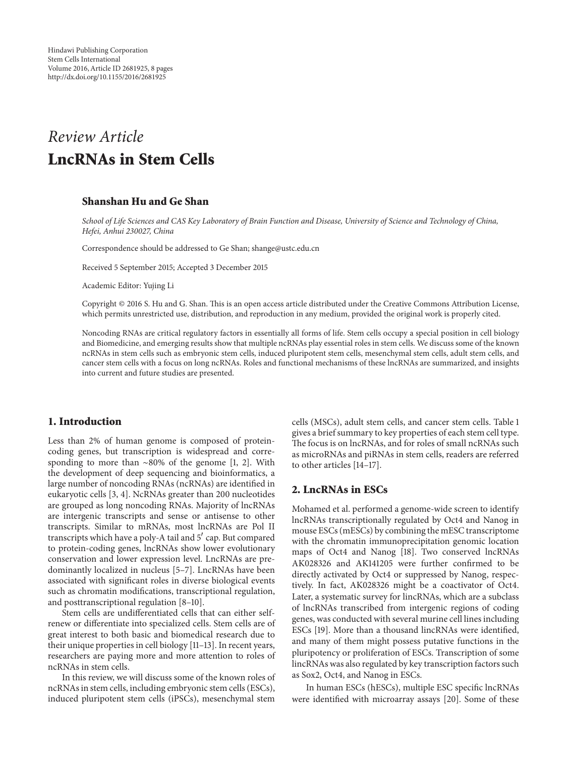# *Review Article* **LncRNAs in Stem Cells**

## **Shanshan Hu and Ge Shan**

*School of Life Sciences and CAS Key Laboratory of Brain Function and Disease, University of Science and Technology of China, Hefei, Anhui 230027, China*

Correspondence should be addressed to Ge Shan; shange@ustc.edu.cn

Received 5 September 2015; Accepted 3 December 2015

Academic Editor: Yujing Li

Copyright © 2016 S. Hu and G. Shan. This is an open access article distributed under the Creative Commons Attribution License, which permits unrestricted use, distribution, and reproduction in any medium, provided the original work is properly cited.

Noncoding RNAs are critical regulatory factors in essentially all forms of life. Stem cells occupy a special position in cell biology and Biomedicine, and emerging results show that multiple ncRNAs play essential roles in stem cells. We discuss some of the known ncRNAs in stem cells such as embryonic stem cells, induced pluripotent stem cells, mesenchymal stem cells, adult stem cells, and cancer stem cells with a focus on long ncRNAs. Roles and functional mechanisms of these lncRNAs are summarized, and insights into current and future studies are presented.

## **1. Introduction**

Less than 2% of human genome is composed of proteincoding genes, but transcription is widespread and corresponding to more than ∼80% of the genome [1, 2]. With the development of deep sequencing and bioinformatics, a large number of noncoding RNAs (ncRNAs) are identified in eukaryotic cells [3, 4]. NcRNAs greater than 200 nucleotides are grouped as long noncoding RNAs. Majority of lncRNAs are intergenic transcripts and sense or antisense to other transcripts. Similar to mRNAs, most lncRNAs are Pol II transcripts which have a poly-A tail and  $5'$  cap. But compared to protein-coding genes, lncRNAs show lower evolutionary conservation and lower expression level. LncRNAs are predominantly localized in nucleus [5–7]. LncRNAs have been associated with significant roles in diverse biological events such as chromatin modifications, transcriptional regulation, and posttranscriptional regulation [8–10].

Stem cells are undifferentiated cells that can either selfrenew or differentiate into specialized cells. Stem cells are of great interest to both basic and biomedical research due to their unique properties in cell biology [11–13]. In recent years, researchers are paying more and more attention to roles of ncRNAs in stem cells.

In this review, we will discuss some of the known roles of ncRNAs in stem cells, including embryonic stem cells (ESCs), induced pluripotent stem cells (iPSCs), mesenchymal stem

cells (MSCs), adult stem cells, and cancer stem cells. Table 1 gives a brief summary to key properties of each stem cell type. The focus is on lncRNAs, and for roles of small ncRNAs such as microRNAs and piRNAs in stem cells, readers are referred to other articles [14–17].

#### **2. LncRNAs in ESCs**

Mohamed et al. performed a genome-wide screen to identify lncRNAs transcriptionally regulated by Oct4 and Nanog in mouse ESCs (mESCs) by combining the mESC transcriptome with the chromatin immunoprecipitation genomic location maps of Oct4 and Nanog [18]. Two conserved lncRNAs AK028326 and AK141205 were further confirmed to be directly activated by Oct4 or suppressed by Nanog, respectively. In fact, AK028326 might be a coactivator of Oct4. Later, a systematic survey for lincRNAs, which are a subclass of lncRNAs transcribed from intergenic regions of coding genes, was conducted with several murine cell lines including ESCs [19]. More than a thousand lincRNAs were identified, and many of them might possess putative functions in the pluripotency or proliferation of ESCs. Transcription of some lincRNAs was also regulated by key transcription factors such as Sox2, Oct4, and Nanog in ESCs.

In human ESCs (hESCs), multiple ESC specific lncRNAs were identified with microarray assays [20]. Some of these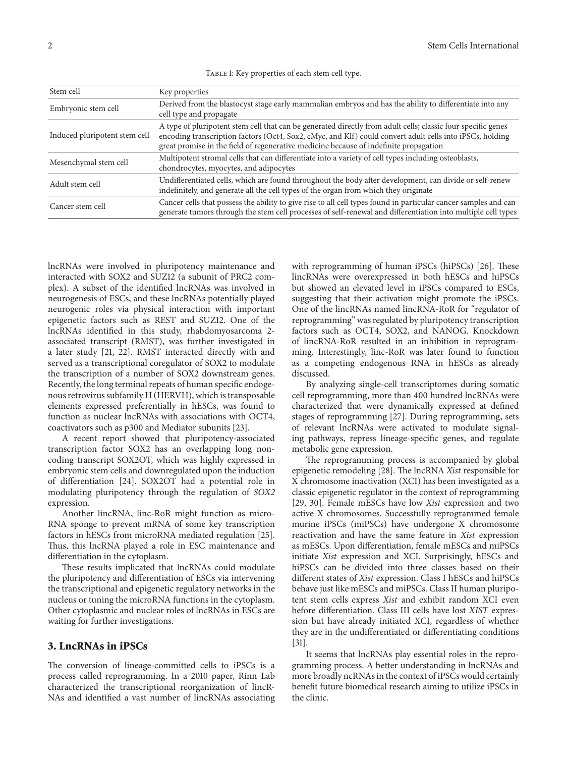| Stem cell                     | Key properties                                                                                                                                                                                                                                                                                                    |
|-------------------------------|-------------------------------------------------------------------------------------------------------------------------------------------------------------------------------------------------------------------------------------------------------------------------------------------------------------------|
| Embryonic stem cell           | Derived from the blastocyst stage early mammalian embryos and has the ability to differentiate into any<br>cell type and propagate                                                                                                                                                                                |
| Induced pluripotent stem cell | A type of pluripotent stem cell that can be generated directly from adult cells; classic four specific genes<br>encoding transcription factors (Oct4, Sox2, cMyc, and Klf) could convert adult cells into iPSCs, holding<br>great promise in the field of regenerative medicine because of indefinite propagation |
| Mesenchymal stem cell         | Multipotent stromal cells that can differentiate into a variety of cell types including osteoblasts,<br>chondrocytes, myocytes, and adipocytes                                                                                                                                                                    |
| Adult stem cell               | Undifferentiated cells, which are found throughout the body after development, can divide or self-renew<br>indefinitely, and generate all the cell types of the organ from which they originate                                                                                                                   |
| Cancer stem cell              | Cancer cells that possess the ability to give rise to all cell types found in particular cancer samples and can<br>generate tumors through the stem cell processes of self-renewal and differentiation into multiple cell types                                                                                   |

TABLE 1: Key properties of each stem cell type.

lncRNAs were involved in pluripotency maintenance and interacted with SOX2 and SUZ12 (a subunit of PRC2 complex). A subset of the identified lncRNAs was involved in neurogenesis of ESCs, and these lncRNAs potentially played neurogenic roles via physical interaction with important epigenetic factors such as REST and SUZ12. One of the lncRNAs identified in this study, rhabdomyosarcoma 2 associated transcript (RMST), was further investigated in a later study [21, 22]. RMST interacted directly with and served as a transcriptional coregulator of SOX2 to modulate the transcription of a number of SOX2 downstream genes. Recently, the long terminal repeats of human specific endogenous retrovirus subfamily H (HERVH), which is transposable elements expressed preferentially in hESCs, was found to function as nuclear lncRNAs with associations with OCT4, coactivators such as p300 and Mediator subunits [23].

A recent report showed that pluripotency-associated transcription factor SOX2 has an overlapping long noncoding transcript SOX2OT, which was highly expressed in embryonic stem cells and downregulated upon the induction of differentiation [24]. SOX2OT had a potential role in modulating pluripotency through the regulation of *SOX2* expression.

Another lincRNA, linc-RoR might function as micro-RNA sponge to prevent mRNA of some key transcription factors in hESCs from microRNA mediated regulation [25]. Thus, this lncRNA played a role in ESC maintenance and differentiation in the cytoplasm.

These results implicated that lncRNAs could modulate the pluripotency and differentiation of ESCs via intervening the transcriptional and epigenetic regulatory networks in the nucleus or tuning the microRNA functions in the cytoplasm. Other cytoplasmic and nuclear roles of lncRNAs in ESCs are waiting for further investigations.

## **3. LncRNAs in iPSCs**

The conversion of lineage-committed cells to iPSCs is a process called reprogramming. In a 2010 paper, Rinn Lab characterized the transcriptional reorganization of lincR-NAs and identified a vast number of lincRNAs associating with reprogramming of human iPSCs (hiPSCs) [26]. These lincRNAs were overexpressed in both hESCs and hiPSCs but showed an elevated level in iPSCs compared to ESCs, suggesting that their activation might promote the iPSCs. One of the lincRNAs named lincRNA-RoR for "regulator of reprogramming" was regulated by pluripotency transcription factors such as OCT4, SOX2, and NANOG. Knockdown of lincRNA-RoR resulted in an inhibition in reprogramming. Interestingly, linc-RoR was later found to function as a competing endogenous RNA in hESCs as already discussed.

By analyzing single-cell transcriptomes during somatic cell reprogramming, more than 400 hundred lncRNAs were characterized that were dynamically expressed at defined stages of reprogramming [27]. During reprogramming, sets of relevant lncRNAs were activated to modulate signaling pathways, repress lineage-specific genes, and regulate metabolic gene expression.

The reprogramming process is accompanied by global epigenetic remodeling [28]. The lncRNA *Xist* responsible for X chromosome inactivation (XCI) has been investigated as a classic epigenetic regulator in the context of reprogramming [29, 30]. Female mESCs have low *Xist* expression and two active X chromosomes. Successfully reprogrammed female murine iPSCs (miPSCs) have undergone X chromosome reactivation and have the same feature in *Xist* expression as mESCs. Upon differentiation, female mESCs and miPSCs initiate *Xist* expression and XCI. Surprisingly, hESCs and hiPSCs can be divided into three classes based on their different states of *Xist* expression. Class I hESCs and hiPSCs behave just like mESCs and miPSCs. Class II human pluripotent stem cells express *Xist* and exhibit random XCI even before differentiation. Class III cells have lost *XIST* expression but have already initiated XCI, regardless of whether they are in the undifferentiated or differentiating conditions [31].

It seems that lncRNAs play essential roles in the reprogramming process. A better understanding in lncRNAs and more broadly ncRNAs in the context of iPSCs would certainly benefit future biomedical research aiming to utilize iPSCs in the clinic.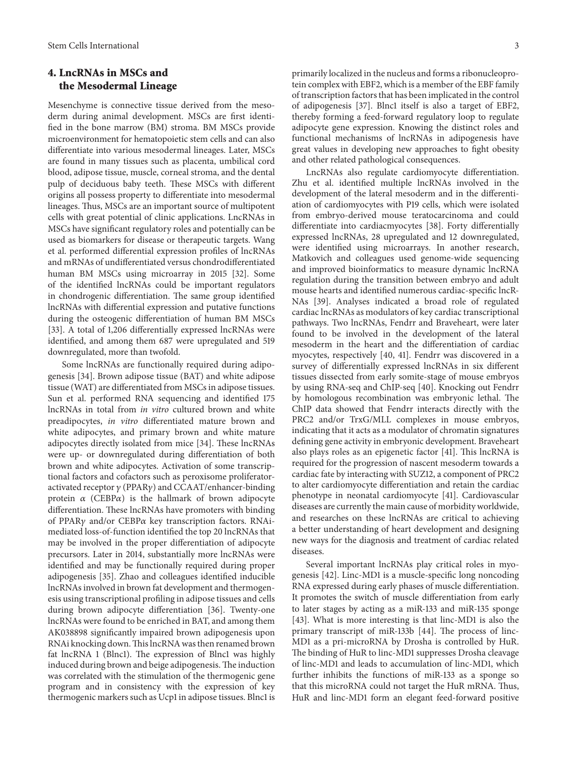## **4. LncRNAs in MSCs and the Mesodermal Lineage**

Mesenchyme is connective tissue derived from the mesoderm during animal development. MSCs are first identified in the bone marrow (BM) stroma. BM MSCs provide microenvironment for hematopoietic stem cells and can also differentiate into various mesodermal lineages. Later, MSCs are found in many tissues such as placenta, umbilical cord blood, adipose tissue, muscle, corneal stroma, and the dental pulp of deciduous baby teeth. These MSCs with different origins all possess property to differentiate into mesodermal lineages. Thus, MSCs are an important source of multipotent cells with great potential of clinic applications. LncRNAs in MSCs have significant regulatory roles and potentially can be used as biomarkers for disease or therapeutic targets. Wang et al. performed differential expression profiles of lncRNAs and mRNAs of undifferentiated versus chondrodifferentiated human BM MSCs using microarray in 2015 [32]. Some of the identified lncRNAs could be important regulators in chondrogenic differentiation. The same group identified lncRNAs with differential expression and putative functions during the osteogenic differentiation of human BM MSCs [33]. A total of 1,206 differentially expressed lncRNAs were identified, and among them 687 were upregulated and 519 downregulated, more than twofold.

Some lncRNAs are functionally required during adipogenesis [34]. Brown adipose tissue (BAT) and white adipose tissue (WAT) are differentiated from MSCs in adipose tissues. Sun et al. performed RNA sequencing and identified 175 lncRNAs in total from *in vitro* cultured brown and white preadipocytes, *in vitro* differentiated mature brown and white adipocytes, and primary brown and white mature adipocytes directly isolated from mice [34]. These lncRNAs were up- or downregulated during differentiation of both brown and white adipocytes. Activation of some transcriptional factors and cofactors such as peroxisome proliferatoractivated receptor  $\gamma$  (PPAR $\gamma$ ) and CCAAT/enhancer-binding protein  $\alpha$  (CEBP $\alpha$ ) is the hallmark of brown adipocyte differentiation. These lncRNAs have promoters with binding of PPAR $\gamma$  and/or CEBP $\alpha$  key transcription factors. RNAimediated loss-of-function identified the top 20 lncRNAs that may be involved in the proper differentiation of adipocyte precursors. Later in 2014, substantially more lncRNAs were identified and may be functionally required during proper adipogenesis [35]. Zhao and colleagues identified inducible lncRNAs involved in brown fat development and thermogenesis using transcriptional profiling in adipose tissues and cells during brown adipocyte differentiation [36]. Twenty-one lncRNAs were found to be enriched in BAT, and among them AK038898 significantly impaired brown adipogenesis upon RNAi knocking down.This lncRNA was then renamed brown fat lncRNA 1 (Blnc1). The expression of Blnc1 was highly induced during brown and beige adipogenesis.The induction was correlated with the stimulation of the thermogenic gene program and in consistency with the expression of key thermogenic markers such as Ucp1 in adipose tissues. Blnc1 is primarily localized in the nucleus and forms a ribonucleoprotein complex with EBF2, which is a member of the EBF family of transcription factors that has been implicated in the control of adipogenesis [37]. Blnc1 itself is also a target of EBF2, thereby forming a feed-forward regulatory loop to regulate adipocyte gene expression. Knowing the distinct roles and functional mechanisms of lncRNAs in adipogenesis have great values in developing new approaches to fight obesity and other related pathological consequences.

LncRNAs also regulate cardiomyocyte differentiation. Zhu et al. identified multiple lncRNAs involved in the development of the lateral mesoderm and in the differentiation of cardiomyocytes with P19 cells, which were isolated from embryo-derived mouse teratocarcinoma and could differentiate into cardiacmyocytes [38]. Forty differentially expressed lncRNAs, 28 upregulated and 12 downregulated, were identified using microarrays. In another research, Matkovich and colleagues used genome-wide sequencing and improved bioinformatics to measure dynamic lncRNA regulation during the transition between embryo and adult mouse hearts and identified numerous cardiac-specific lncR-NAs [39]. Analyses indicated a broad role of regulated cardiac lncRNAs as modulators of key cardiac transcriptional pathways. Two lncRNAs, Fendrr and Braveheart, were later found to be involved in the development of the lateral mesoderm in the heart and the differentiation of cardiac myocytes, respectively [40, 41]. Fendrr was discovered in a survey of differentially expressed lncRNAs in six different tissues dissected from early somite-stage of mouse embryos by using RNA-seq and ChIP-seq [40]. Knocking out Fendrr by homologous recombination was embryonic lethal. The ChIP data showed that Fendrr interacts directly with the PRC2 and/or TrxG/MLL complexes in mouse embryos, indicating that it acts as a modulator of chromatin signatures defining gene activity in embryonic development. Braveheart also plays roles as an epigenetic factor [41]. This lncRNA is required for the progression of nascent mesoderm towards a cardiac fate by interacting with SUZ12, a component of PRC2 to alter cardiomyocyte differentiation and retain the cardiac phenotype in neonatal cardiomyocyte [41]. Cardiovascular diseases are currently the main cause of morbidity worldwide, and researches on these lncRNAs are critical to achieving a better understanding of heart development and designing new ways for the diagnosis and treatment of cardiac related diseases.

Several important lncRNAs play critical roles in myogenesis [42]. Linc-MD1 is a muscle-specific long noncoding RNA expressed during early phases of muscle differentiation. It promotes the switch of muscle differentiation from early to later stages by acting as a miR-133 and miR-135 sponge [43]. What is more interesting is that linc-MD1 is also the primary transcript of miR-133b [44]. The process of linc-MD1 as a pri-microRNA by Drosha is controlled by HuR. The binding of HuR to linc-MD1 suppresses Drosha cleavage of linc-MD1 and leads to accumulation of linc-MD1, which further inhibits the functions of miR-133 as a sponge so that this microRNA could not target the HuR mRNA. Thus, HuR and linc-MD1 form an elegant feed-forward positive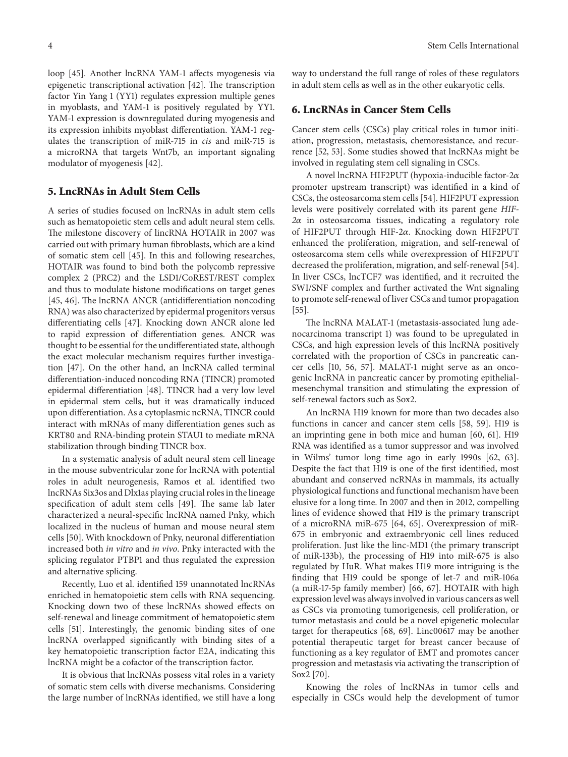loop [45]. Another lncRNA YAM-1 affects myogenesis via epigenetic transcriptional activation [42]. The transcription factor Yin Yang 1 (YY1) regulates expression multiple genes in myoblasts, and YAM-1 is positively regulated by YY1. YAM-1 expression is downregulated during myogenesis and its expression inhibits myoblast differentiation. YAM-1 regulates the transcription of miR-715 in *cis* and miR-715 is a microRNA that targets Wnt7b, an important signaling modulator of myogenesis [42].

#### **5. LncRNAs in Adult Stem Cells**

A series of studies focused on lncRNAs in adult stem cells such as hematopoietic stem cells and adult neural stem cells. The milestone discovery of lincRNA HOTAIR in 2007 was carried out with primary human fibroblasts, which are a kind of somatic stem cell [45]. In this and following researches, HOTAIR was found to bind both the polycomb repressive complex 2 (PRC2) and the LSD1/CoREST/REST complex and thus to modulate histone modifications on target genes [45, 46]. The lncRNA ANCR (antidifferentiation noncoding RNA) was also characterized by epidermal progenitors versus differentiating cells [47]. Knocking down ANCR alone led to rapid expression of differentiation genes. ANCR was thought to be essential for the undifferentiated state, although the exact molecular mechanism requires further investigation [47]. On the other hand, an lncRNA called terminal differentiation-induced noncoding RNA (TINCR) promoted epidermal differentiation [48]. TINCR had a very low level in epidermal stem cells, but it was dramatically induced upon differentiation. As a cytoplasmic ncRNA, TINCR could interact with mRNAs of many differentiation genes such as KRT80 and RNA-binding protein STAU1 to mediate mRNA stabilization through binding TINCR box.

In a systematic analysis of adult neural stem cell lineage in the mouse subventricular zone for lncRNA with potential roles in adult neurogenesis, Ramos et al. identified two lncRNAs Six3os and Dlx1as playing crucial roles in the lineage specification of adult stem cells [49]. The same lab later characterized a neural-specific lncRNA named Pnky, which localized in the nucleus of human and mouse neural stem cells [50]. With knockdown of Pnky, neuronal differentiation increased both *in vitro* and *in vivo*. Pnky interacted with the splicing regulator PTBP1 and thus regulated the expression and alternative splicing.

Recently, Luo et al. identified 159 unannotated lncRNAs enriched in hematopoietic stem cells with RNA sequencing. Knocking down two of these lncRNAs showed effects on self-renewal and lineage commitment of hematopoietic stem cells [51]. Interestingly, the genomic binding sites of one lncRNA overlapped significantly with binding sites of a key hematopoietic transcription factor E2A, indicating this lncRNA might be a cofactor of the transcription factor.

It is obvious that lncRNAs possess vital roles in a variety of somatic stem cells with diverse mechanisms. Considering the large number of lncRNAs identified, we still have a long way to understand the full range of roles of these regulators in adult stem cells as well as in the other eukaryotic cells.

#### **6. LncRNAs in Cancer Stem Cells**

Cancer stem cells (CSCs) play critical roles in tumor initiation, progression, metastasis, chemoresistance, and recurrence [52, 53]. Some studies showed that lncRNAs might be involved in regulating stem cell signaling in CSCs.

A novel lncRNA HIF2PUT (hypoxia-inducible factor-2 $\alpha$ promoter upstream transcript) was identified in a kind of CSCs, the osteosarcoma stem cells [54]. HIF2PUT expression levels were positively correlated with its parent gene *HIF-* $2\alpha$  in osteosarcoma tissues, indicating a regulatory role of HIF2PUT through HIF-2 $\alpha$ . Knocking down HIF2PUT enhanced the proliferation, migration, and self-renewal of osteosarcoma stem cells while overexpression of HIF2PUT decreased the proliferation, migration, and self-renewal [54]. In liver CSCs, lncTCF7 was identified, and it recruited the SWI/SNF complex and further activated the Wnt signaling to promote self-renewal of liver CSCs and tumor propagation [55].

The lncRNA MALAT-1 (metastasis-associated lung adenocarcinoma transcript 1) was found to be upregulated in CSCs, and high expression levels of this lncRNA positively correlated with the proportion of CSCs in pancreatic cancer cells [10, 56, 57]. MALAT-1 might serve as an oncogenic lncRNA in pancreatic cancer by promoting epithelialmesenchymal transition and stimulating the expression of self-renewal factors such as Sox2.

An lncRNA H19 known for more than two decades also functions in cancer and cancer stem cells [58, 59]. H19 is an imprinting gene in both mice and human [60, 61]. H19 RNA was identified as a tumor suppressor and was involved in Wilms' tumor long time ago in early 1990s [62, 63]. Despite the fact that H19 is one of the first identified, most abundant and conserved ncRNAs in mammals, its actually physiological functions and functional mechanism have been elusive for a long time. In 2007 and then in 2012, compelling lines of evidence showed that H19 is the primary transcript of a microRNA miR-675 [64, 65]. Overexpression of miR-675 in embryonic and extraembryonic cell lines reduced proliferation. Just like the linc-MD1 (the primary transcript of miR-133b), the processing of H19 into miR-675 is also regulated by HuR. What makes H19 more intriguing is the finding that H19 could be sponge of let-7 and miR-106a (a miR-17-5p family member) [66, 67]. HOTAIR with high expression level was always involved in various cancers as well as CSCs via promoting tumorigenesis, cell proliferation, or tumor metastasis and could be a novel epigenetic molecular target for therapeutics [68, 69]. Linc00617 may be another potential therapeutic target for breast cancer because of functioning as a key regulator of EMT and promotes cancer progression and metastasis via activating the transcription of Sox2 [70].

Knowing the roles of lncRNAs in tumor cells and especially in CSCs would help the development of tumor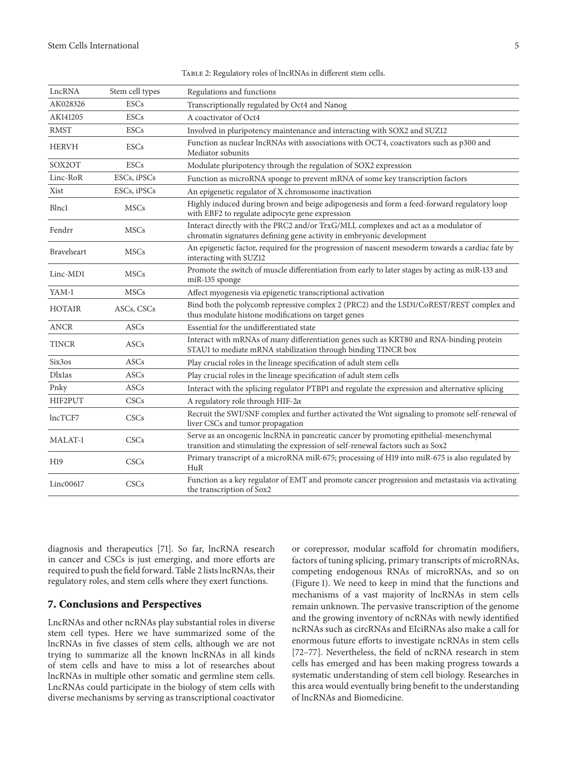| LncRNA            | Stem cell types | Regulations and functions                                                                                                                                               |
|-------------------|-----------------|-------------------------------------------------------------------------------------------------------------------------------------------------------------------------|
| AK028326          | <b>ESCs</b>     | Transcriptionally regulated by Oct4 and Nanog                                                                                                                           |
| AK141205          | <b>ESCs</b>     | A coactivator of Oct4                                                                                                                                                   |
| <b>RMST</b>       | <b>ESCs</b>     | Involved in pluripotency maintenance and interacting with SOX2 and SUZ12                                                                                                |
| <b>HERVH</b>      | <b>ESCs</b>     | Function as nuclear lncRNAs with associations with OCT4, coactivators such as p300 and<br>Mediator subunits                                                             |
| SOX2OT            | <b>ESCs</b>     | Modulate pluripotency through the regulation of SOX2 expression                                                                                                         |
| Linc-RoR          | ESCs, iPSCs     | Function as microRNA sponge to prevent mRNA of some key transcription factors                                                                                           |
| Xist              | ESCs, iPSCs     | An epigenetic regulator of X chromosome inactivation                                                                                                                    |
| <b>Blnc1</b>      | <b>MSCs</b>     | Highly induced during brown and beige adipogenesis and form a feed-forward regulatory loop<br>with EBF2 to regulate adipocyte gene expression                           |
| Fendrr            | <b>MSCs</b>     | Interact directly with the PRC2 and/or TrxG/MLL complexes and act as a modulator of<br>chromatin signatures defining gene activity in embryonic development             |
| <b>Braveheart</b> | MSCs            | An epigenetic factor, required for the progression of nascent mesoderm towards a cardiac fate by<br>interacting with SUZ12                                              |
| Linc-MD1          | <b>MSCs</b>     | Promote the switch of muscle differentiation from early to later stages by acting as miR-133 and<br>miR-135 sponge                                                      |
| YAM-1             | <b>MSCs</b>     | Affect myogenesis via epigenetic transcriptional activation                                                                                                             |
| <b>HOTAIR</b>     | ASCs, CSCs      | Bind both the polycomb repressive complex 2 (PRC2) and the LSD1/CoREST/REST complex and<br>thus modulate histone modifications on target genes                          |
| <b>ANCR</b>       | <b>ASCs</b>     | Essential for the undifferentiated state                                                                                                                                |
| <b>TINCR</b>      | ASCs            | Interact with mRNAs of many differentiation genes such as KRT80 and RNA-binding protein<br>STAU1 to mediate mRNA stabilization through binding TINCR box                |
| Six3os            | ASCs            | Play crucial roles in the lineage specification of adult stem cells                                                                                                     |
| <b>D</b> lxlas    | ASCs            | Play crucial roles in the lineage specification of adult stem cells                                                                                                     |
| Pnky              | ASCs            | Interact with the splicing regulator PTBP1 and regulate the expression and alternative splicing                                                                         |
| HIF2PUT           | CSCs            | A regulatory role through HIF-2 $\alpha$                                                                                                                                |
| lncTCF7           | CSCs            | Recruit the SWI/SNF complex and further activated the Wnt signaling to promote self-renewal of<br>liver CSCs and tumor propagation                                      |
| MALAT-1           | CSCs            | Serve as an oncogenic lncRNA in pancreatic cancer by promoting epithelial-mesenchymal<br>transition and stimulating the expression of self-renewal factors such as Sox2 |
| H <sub>19</sub>   | CSCs            | Primary transcript of a microRNA miR-675; processing of H19 into miR-675 is also regulated by<br>HuR                                                                    |
| Linc00617         | CSCs            | Function as a key regulator of EMT and promote cancer progression and metastasis via activating<br>the transcription of Sox2                                            |

TABLE 2: Regulatory roles of lncRNAs in different stem cells.

diagnosis and therapeutics [71]. So far, lncRNA research in cancer and CSCs is just emerging, and more efforts are required to push the field forward. Table 2 lists lncRNAs, their regulatory roles, and stem cells where they exert functions.

## **7. Conclusions and Perspectives**

LncRNAs and other ncRNAs play substantial roles in diverse stem cell types. Here we have summarized some of the lncRNAs in five classes of stem cells, although we are not trying to summarize all the known lncRNAs in all kinds of stem cells and have to miss a lot of researches about lncRNAs in multiple other somatic and germline stem cells. LncRNAs could participate in the biology of stem cells with diverse mechanisms by serving as transcriptional coactivator

or corepressor, modular scaffold for chromatin modifiers, factors of tuning splicing, primary transcripts of microRNAs, competing endogenous RNAs of microRNAs, and so on (Figure 1). We need to keep in mind that the functions and mechanisms of a vast majority of lncRNAs in stem cells remain unknown. The pervasive transcription of the genome and the growing inventory of ncRNAs with newly identified ncRNAs such as circRNAs and EIciRNAs also make a call for enormous future efforts to investigate ncRNAs in stem cells [72–77]. Nevertheless, the field of ncRNA research in stem cells has emerged and has been making progress towards a systematic understanding of stem cell biology. Researches in this area would eventually bring benefit to the understanding of lncRNAs and Biomedicine.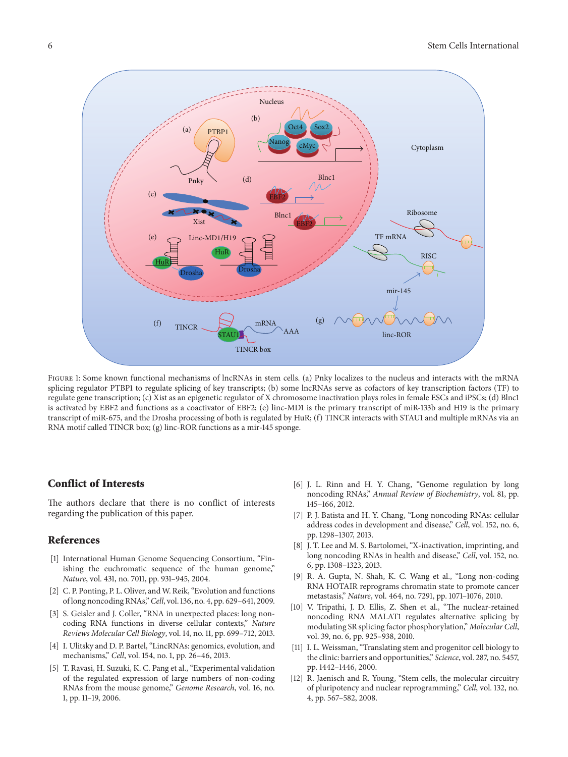

Figure 1: Some known functional mechanisms of lncRNAs in stem cells. (a) Pnky localizes to the nucleus and interacts with the mRNA splicing regulator PTBP1 to regulate splicing of key transcripts; (b) some lncRNAs serve as cofactors of key transcription factors (TF) to regulate gene transcription; (c) Xist as an epigenetic regulator of X chromosome inactivation plays roles in female ESCs and iPSCs; (d) Blnc1 is activated by EBF2 and functions as a coactivator of EBF2; (e) linc-MD1 is the primary transcript of miR-133b and H19 is the primary transcript of miR-675, and the Drosha processing of both is regulated by HuR; (f) TINCR interacts with STAU1 and multiple mRNAs via an RNA motif called TINCR box; (g) linc-ROR functions as a mir-145 sponge.

## **Conflict of Interests**

The authors declare that there is no conflict of interests regarding the publication of this paper.

#### **References**

- [1] International Human Genome Sequencing Consortium, "Finishing the euchromatic sequence of the human genome," *Nature*, vol. 431, no. 7011, pp. 931–945, 2004.
- [2] C. P. Ponting, P. L. Oliver, and W. Reik, "Evolution and functions of long noncoding RNAs,"*Cell*, vol. 136, no. 4, pp. 629–641, 2009.
- [3] S. Geisler and J. Coller, "RNA in unexpected places: long noncoding RNA functions in diverse cellular contexts," *Nature Reviews Molecular Cell Biology*, vol. 14, no. 11, pp. 699–712, 2013.
- [4] I. Ulitsky and D. P. Bartel, "LincRNAs: genomics, evolution, and mechanisms," *Cell*, vol. 154, no. 1, pp. 26–46, 2013.
- [5] T. Ravasi, H. Suzuki, K. C. Pang et al., "Experimental validation of the regulated expression of large numbers of non-coding RNAs from the mouse genome," *Genome Research*, vol. 16, no. 1, pp. 11–19, 2006.
- [6] J. L. Rinn and H. Y. Chang, "Genome regulation by long noncoding RNAs," *Annual Review of Biochemistry*, vol. 81, pp. 145–166, 2012.
- [7] P. J. Batista and H. Y. Chang, "Long noncoding RNAs: cellular address codes in development and disease," *Cell*, vol. 152, no. 6, pp. 1298–1307, 2013.
- [8] J. T. Lee and M. S. Bartolomei, "X-inactivation, imprinting, and long noncoding RNAs in health and disease," *Cell*, vol. 152, no. 6, pp. 1308–1323, 2013.
- [9] R. A. Gupta, N. Shah, K. C. Wang et al., "Long non-coding RNA HOTAIR reprograms chromatin state to promote cancer metastasis," *Nature*, vol. 464, no. 7291, pp. 1071–1076, 2010.
- [10] V. Tripathi, J. D. Ellis, Z. Shen et al., "The nuclear-retained noncoding RNA MALAT1 regulates alternative splicing by modulating SR splicing factor phosphorylation," *Molecular Cell*, vol. 39, no. 6, pp. 925–938, 2010.
- [11] I. L. Weissman, "Translating stem and progenitor cell biology to the clinic: barriers and opportunities," *Science*, vol. 287, no. 5457, pp. 1442–1446, 2000.
- [12] R. Jaenisch and R. Young, "Stem cells, the molecular circuitry of pluripotency and nuclear reprogramming," *Cell*, vol. 132, no. 4, pp. 567–582, 2008.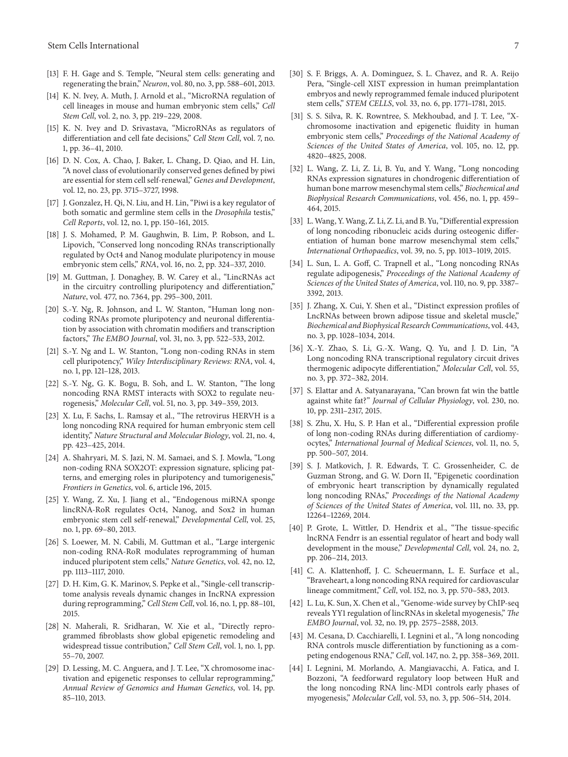- [13] F. H. Gage and S. Temple, "Neural stem cells: generating and regenerating the brain," *Neuron*, vol. 80, no. 3, pp. 588–601, 2013.
- [14] K. N. Ivey, A. Muth, J. Arnold et al., "MicroRNA regulation of cell lineages in mouse and human embryonic stem cells," *Cell Stem Cell*, vol. 2, no. 3, pp. 219–229, 2008.
- [15] K. N. Ivey and D. Srivastava, "MicroRNAs as regulators of differentiation and cell fate decisions," *Cell Stem Cell*, vol. 7, no. 1, pp. 36–41, 2010.
- [16] D. N. Cox, A. Chao, J. Baker, L. Chang, D. Qiao, and H. Lin, "A novel class of evolutionarily conserved genes defined by piwi are essential for stem cell self-renewal," *Genes and Development*, vol. 12, no. 23, pp. 3715–3727, 1998.
- [17] J. Gonzalez, H. Qi, N. Liu, and H. Lin, "Piwi is a key regulator of both somatic and germline stem cells in the *Drosophila* testis," *Cell Reports*, vol. 12, no. 1, pp. 150–161, 2015.
- [18] J. S. Mohamed, P. M. Gaughwin, B. Lim, P. Robson, and L. Lipovich, "Conserved long noncoding RNAs transcriptionally regulated by Oct4 and Nanog modulate pluripotency in mouse embryonic stem cells," *RNA*, vol. 16, no. 2, pp. 324–337, 2010.
- [19] M. Guttman, J. Donaghey, B. W. Carey et al., "LincRNAs act in the circuitry controlling pluripotency and differentiation," *Nature*, vol. 477, no. 7364, pp. 295–300, 2011.
- [20] S.-Y. Ng, R. Johnson, and L. W. Stanton, "Human long noncoding RNAs promote pluripotency and neuronal differentiation by association with chromatin modifiers and transcription factors," *The EMBO Journal*, vol. 31, no. 3, pp. 522–533, 2012.
- [21] S.-Y. Ng and L. W. Stanton, "Long non-coding RNAs in stem cell pluripotency," *Wiley Interdisciplinary Reviews: RNA*, vol. 4, no. 1, pp. 121–128, 2013.
- [22] S.-Y. Ng, G. K. Bogu, B. Soh, and L. W. Stanton, "The long noncoding RNA RMST interacts with SOX2 to regulate neurogenesis," *Molecular Cell*, vol. 51, no. 3, pp. 349–359, 2013.
- [23] X. Lu, F. Sachs, L. Ramsay et al., "The retrovirus HERVH is a long noncoding RNA required for human embryonic stem cell identity," *Nature Structural and Molecular Biology*, vol. 21, no. 4, pp. 423–425, 2014.
- [24] A. Shahryari, M. S. Jazi, N. M. Samaei, and S. J. Mowla, "Long non-coding RNA SOX2OT: expression signature, splicing patterns, and emerging roles in pluripotency and tumorigenesis," *Frontiers in Genetics*, vol. 6, article 196, 2015.
- [25] Y. Wang, Z. Xu, J. Jiang et al., "Endogenous miRNA sponge lincRNA-RoR regulates Oct4, Nanog, and Sox2 in human embryonic stem cell self-renewal," *Developmental Cell*, vol. 25, no. 1, pp. 69–80, 2013.
- [26] S. Loewer, M. N. Cabili, M. Guttman et al., "Large intergenic non-coding RNA-RoR modulates reprogramming of human induced pluripotent stem cells," *Nature Genetics*, vol. 42, no. 12, pp. 1113–1117, 2010.
- [27] D. H. Kim, G. K. Marinov, S. Pepke et al., "Single-cell transcriptome analysis reveals dynamic changes in IncRNA expression during reprogramming," *Cell Stem Cell*, vol. 16, no. 1, pp. 88–101, 2015.
- [28] N. Maherali, R. Sridharan, W. Xie et al., "Directly reprogrammed fibroblasts show global epigenetic remodeling and widespread tissue contribution," *Cell Stem Cell*, vol. 1, no. 1, pp. 55–70, 2007.
- [29] D. Lessing, M. C. Anguera, and J. T. Lee, "X chromosome inactivation and epigenetic responses to cellular reprogramming," *Annual Review of Genomics and Human Genetics*, vol. 14, pp. 85–110, 2013.
- [30] S. F. Briggs, A. A. Dominguez, S. L. Chavez, and R. A. Reijo Pera, "Single-cell XIST expression in human preimplantation embryos and newly reprogrammed female induced pluripotent stem cells," *STEM CELLS*, vol. 33, no. 6, pp. 1771–1781, 2015.
- [31] S. S. Silva, R. K. Rowntree, S. Mekhoubad, and J. T. Lee, "Xchromosome inactivation and epigenetic fluidity in human embryonic stem cells," *Proceedings of the National Academy of Sciences of the United States of America*, vol. 105, no. 12, pp. 4820–4825, 2008.
- [32] L. Wang, Z. Li, Z. Li, B. Yu, and Y. Wang, "Long noncoding RNAs expression signatures in chondrogenic differentiation of human bone marrow mesenchymal stem cells," *Biochemical and Biophysical Research Communications*, vol. 456, no. 1, pp. 459– 464, 2015.
- [33] L. Wang, Y. Wang, Z. Li, Z. Li, and B. Yu, "Differential expression of long noncoding ribonucleic acids during osteogenic differentiation of human bone marrow mesenchymal stem cells," *International Orthopaedics*, vol. 39, no. 5, pp. 1013–1019, 2015.
- [34] L. Sun, L. A. Goff, C. Trapnell et al., "Long noncoding RNAs regulate adipogenesis," *Proceedings of the National Academy of Sciences of the United States of America*, vol. 110, no. 9, pp. 3387– 3392, 2013.
- [35] J. Zhang, X. Cui, Y. Shen et al., "Distinct expression profiles of LncRNAs between brown adipose tissue and skeletal muscle," *Biochemical and Biophysical Research Communications*, vol. 443, no. 3, pp. 1028–1034, 2014.
- [36] X.-Y. Zhao, S. Li, G.-X. Wang, Q. Yu, and J. D. Lin, "A Long noncoding RNA transcriptional regulatory circuit drives thermogenic adipocyte differentiation," *Molecular Cell*, vol. 55, no. 3, pp. 372–382, 2014.
- [37] S. Elattar and A. Satyanarayana, "Can brown fat win the battle against white fat?" *Journal of Cellular Physiology*, vol. 230, no. 10, pp. 2311–2317, 2015.
- [38] S. Zhu, X. Hu, S. P. Han et al., "Differential expression profile of long non-coding RNAs during differentiation of cardiomyocytes," *International Journal of Medical Sciences*, vol. 11, no. 5, pp. 500–507, 2014.
- [39] S. J. Matkovich, J. R. Edwards, T. C. Grossenheider, C. de Guzman Strong, and G. W. Dorn II, "Epigenetic coordination of embryonic heart transcription by dynamically regulated long noncoding RNAs," *Proceedings of the National Academy of Sciences of the United States of America*, vol. 111, no. 33, pp. 12264–12269, 2014.
- [40] P. Grote, L. Wittler, D. Hendrix et al., "The tissue-specific lncRNA Fendrr is an essential regulator of heart and body wall development in the mouse," *Developmental Cell*, vol. 24, no. 2, pp. 206–214, 2013.
- [41] C. A. Klattenhoff, J. C. Scheuermann, L. E. Surface et al., "Braveheart, a long noncoding RNA required for cardiovascular lineage commitment," *Cell*, vol. 152, no. 3, pp. 570–583, 2013.
- [42] L. Lu, K. Sun, X. Chen et al., "Genome-wide survey by ChIP-seq reveals YY1 regulation of lincRNAs in skeletal myogenesis," *The EMBO Journal*, vol. 32, no. 19, pp. 2575–2588, 2013.
- [43] M. Cesana, D. Cacchiarelli, I. Legnini et al., "A long noncoding RNA controls muscle differentiation by functioning as a competing endogenous RNA," *Cell*, vol. 147, no. 2, pp. 358–369, 2011.
- [44] I. Legnini, M. Morlando, A. Mangiavacchi, A. Fatica, and I. Bozzoni, "A feedforward regulatory loop between HuR and the long noncoding RNA linc-MD1 controls early phases of myogenesis," *Molecular Cell*, vol. 53, no. 3, pp. 506–514, 2014.